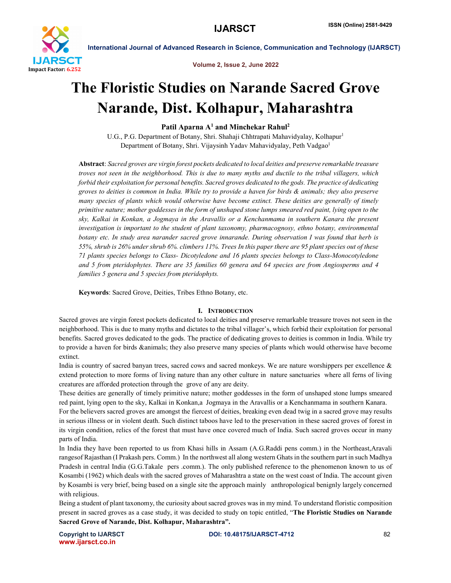

Volume 2, Issue 2, June 2022

# The Floristic Studies on Narande Sacred Grove Narande, Dist. Kolhapur, Maharashtra

Patil Aparna  $A<sup>1</sup>$  and Minchekar Rahul<sup>2</sup>

U.G., P.G. Department of Botany, Shri. Shahaji Chhtrapati Mahavidyalay, Kolhapur<sup>1</sup> Department of Botany, Shri. Vijaysinh Yadav Mahavidyalay, Peth Vadgao<sup>1</sup>

Abstract: *Sacred groves are virgin forest pockets dedicated to local deities and preserve remarkable treasure troves not seen in the neighborhood. This is due to many myths and ductile to the tribal villagers, which forbid their exploitation for personal benefits. Sacred groves dedicated to the gods. The practice of dedicating groves to deities is common in India. While try to provide a haven for birds & animals; they also preserve many species of plants which would otherwise have become extinct. These deities are generally of timely primitive nature; mother goddesses in the form of unshaped stone lumps smeared red paint, lying open to the sky, Kalkai in Konkan, a Jogmaya in the Aravallis or a Kenchanmama in southern Kanara the present investigation is important to the student of plant taxonomy, pharmacognosy, ethno botany, environmental botany etc. In study area narander sacred grove innarande. During observation I was found that herb is 55%, shrub is 26% under shrub 6%. climbers 11%. Trees In this paper there are 95 plant species out of these 71 plants species belongs to Class- Dicotyledone and 16 plants species belongs to Class-Monocotyledone and 5 from pteridophytes. There are 35 families 60 genera and 64 species are from Angiosperms and 4 families 5 genera and 5 species from pteridophyts.*

Keywords: Sacred Grove, Deities, Tribes Ethno Botany, etc.

# I. INTRODUCTION

Sacred groves are virgin forest pockets dedicated to local deities and preserve remarkable treasure troves not seen in the neighborhood. This is due to many myths and dictates to the tribal villager's, which forbid their exploitation for personal benefits. Sacred groves dedicated to the gods. The practice of dedicating groves to deities is common in India. While try to provide a haven for birds &animals; they also preserve many species of plants which would otherwise have become extinct.

India is country of sacred banyan trees, sacred cows and sacred monkeys. We are nature worshippers per excellence & extend protection to more forms of living nature than any other culture in nature sanctuaries where all ferns of living creatures are afforded protection through the grove of any are deity.

These deities are generally of timely primitive nature; mother goddesses in the form of unshaped stone lumps smeared red paint, lying open to the sky, Kalkai in Konkan,a Jogmaya in the Aravallis or a Kenchanmama in southern Kanara.

For the believers sacred groves are amongst the fiercest of deities, breaking even dead twig in a sacred grove may results in serious illness or in violent death. Such distinct taboos have led to the preservation in these sacred groves of forest in its virgin condition, relics of the forest that must have once covered much of India. Such sacred groves occur in many parts of India.

In India they have been reported to us from Khasi hills in Assam (A.G.Raddi pens comm.) in the Northeast,Aravali rangesof Rajasthan (I Prakash pers. Comm.) In the northwest all along western Ghats in the southern part in such Madhya Pradesh in central India (G.G.Takale pers .comm.). The only published reference to the phenomenon known to us of Kosambi (1962) which deals with the sacred groves of Maharashtra a state on the west coast of India. The account given by Kosambi is very brief, being based on a single site the approach mainly anthropological benignly largely concerned with religious.

Being a student of plant taxonomy, the curiosity about sacred groves was in my mind. To understand floristic composition present in sacred groves as a case study, it was decided to study on topic entitled, "The Floristic Studies on Narande Sacred Grove of Narande, Dist. Kolhapur, Maharashtra".

www.ijarsct.co.in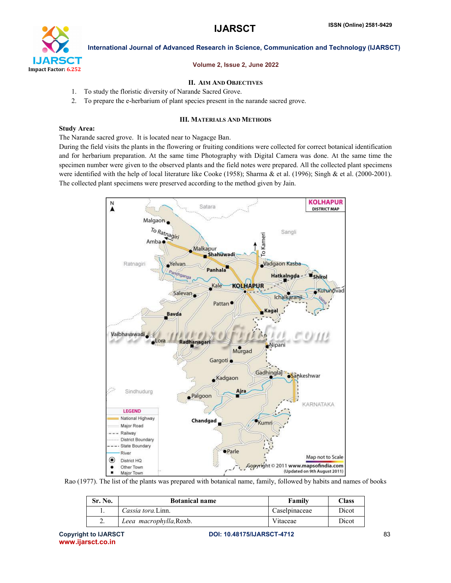

### Volume 2, Issue 2, June 2022

# II. AIM AND OBJECTIVES

- 1. To study the floristic diversity of Narande Sacred Grove.
- 2. To prepare the e-herbarium of plant species present in the narande sacred grove.

#### III. MATERIALS AND METHODS

#### Study Area:

#### The Narande sacred grove. It is located near to Nagacge Ban.

During the field visits the plants in the flowering or fruiting conditions were collected for correct botanical identification and for herbarium preparation. At the same time Photography with Digital Camera was done. At the same time the specimen number were given to the observed plants and the field notes were prepared. All the collected plant specimens were identified with the help of local literature like Cooke (1958); Sharma & et al. (1996); Singh & et al. (2000-2001). The collected plant specimens were preserved according to the method given by Jain.



Rao (1977). The list of the plants was prepared with botanical name, family, followed by habits and names of books

| Sr. No. | <b>Botanical name</b>   | Family        | Class |
|---------|-------------------------|---------------|-------|
|         | Cassia tora.Linn.       | Caselpinaceae | Dicot |
|         | Leea macrophylla, Roxb. | Vitaceae      | Dicot |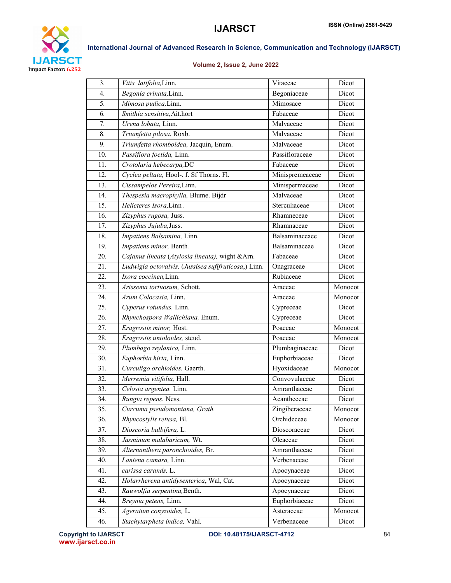

# Volume 2, Issue 2, June 2022

| 3.  | Vitis latifolia, Linn.                               | Vitaceae        | Dicot   |
|-----|------------------------------------------------------|-----------------|---------|
| 4.  | Begonia crinata, Linn.                               | Begoniaceae     | Dicot   |
| 5.  | Mimosa pudica, Linn.                                 | Mimosace        | Dicot   |
| 6.  | Smithia sensitiva, Ait.hort                          | Fabaceae        | Dicot   |
| 7.  | Urena lobata, Linn.                                  | Malvaceae       | Dicot   |
| 8.  | Triumfetta pilosa, Roxb.                             | Malvaceae       | Dicot   |
| 9.  | Triumfetta rhomboidea, Jacquin, Enum.                | Malvaceae       | Dicot   |
| 10. | Passifiora foetida, Linn.                            | Passifloraceae  | Dicot   |
| 11. | Crotolaria hebecarpa, DC                             | Fabaceae        | Dicot   |
| 12. | Cyclea peltata, Hool-. f. Sf Thorns. Fl.             | Minispremeaceae | Dicot   |
| 13. | Cissampelos Pereira, Linn.                           | Minispermaceae  | Dicot   |
| 14. | Thespesia macrophylla, Blume. Bijdr                  | Malvaceae       | Dicot   |
| 15. | Helicteres Isora, Linn.                              | Sterculiaceae   | Dicot   |
| 16. | Zizyphus rugosa, Juss.                               | Rhamneceae      | Dicot   |
| 17. | Zizyphus Jujuba, Juss.                               | Rhamnaceae      | Dicot   |
| 18. | Impatiens Balsamina, Linn.                           | Balsaminaceaee  | Dicot   |
| 19. | Impatiens minor, Benth.                              | Balsaminaceae   | Dicot   |
| 20. | Cajanus lineata (Atylosia lineata), wight & Arn.     | Fabaceae        | Dicot   |
| 21. | Ludwigia octovalvis. (Jussisea sufifruticosa,) Linn. | Onagraceae      | Dicot   |
| 22. | Ixora coccinea, Linn.                                | Rubiaceae       | Dicot   |
| 23. | Arissema tortuosum, Schott.                          | Araceae         | Monocot |
| 24. | Arum Colocasia, Linn.                                | Araceae         | Monocot |
| 25. | Cyperus rotundus, Linn.                              | Cypreceae       | Dicot   |
| 26. | Rhynchospora Wallichiana, Enum.                      | Cypreceae       | Dicot   |
| 27. | Eragrostis minor, Host.                              | Poaceae         | Monocot |
| 28. | Eragrostis unioloides, steud.                        | Poaceae         | Monocot |
| 29. | Plumbago zeylanica, Linn.                            | Plumbaginaceae  | Dicot   |
| 30. | Euphorbia hirta, Linn.                               | Euphorbiaceae   | Dicot   |
| 31. | Curculigo orchioides. Gaerth.                        | Hyoxidaceae     | Monocot |
| 32. | Merremia vitifolia, Hall.                            | Convovulaceae   | Dicot   |
| 33. | Celosia argentea. Linn.                              | Amranthaceae    | Dicot   |
| 34. | Rungia repens. Ness.                                 | Acantheceae     | Dicot   |
| 35. | Curcuma pseudomontana, Grath.                        | Zingiberaceae   | Monocot |
| 36. | Rhyncostylis retusa, Bl.                             | Orchideceae     | Monocot |
| 37. | Dioscoria bulbifera, L.                              | Dioscoraceae    | Dicot   |
| 38. | Jasminum malabaricum, Wt.                            | Oleaceae        | Dicot   |
| 39. | Alternanthera paronchioides, Br.                     | Amranthaceae    | Dicot   |
| 40. | Lantena camara, Linn.                                | Verbenaceae     | Dicot   |
| 41. | carissa carands. L.                                  | Apocynaceae     | Dicot   |
| 42. | Holarrherena antidysenterica, Wal, Cat.              | Apocynaceae     | Dicot   |
| 43. | Rauwolfia serpentina, Benth.                         | Apocynaceae     | Dicot   |
| 44. | Breynia petens, Linn.                                | Euphorbiaceae   | Dicot   |
| 45. | Ageratum conyzoides, L.                              | Asteraceae      | Monocot |
| 46. | Stachytarpheta indica, Vahl.                         | Verbenaceae     | Dicot   |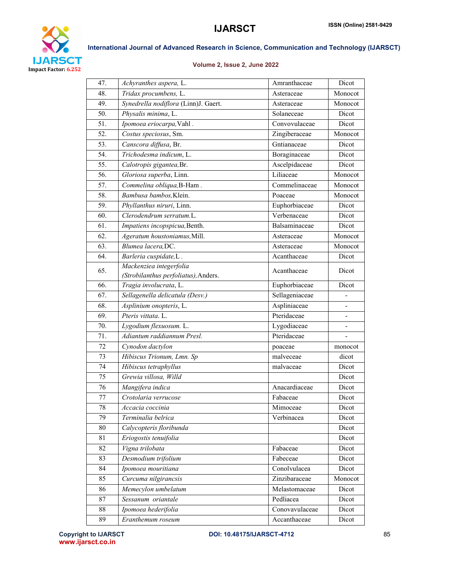

# Volume 2, Issue 2, June 2022

| 47. | Achyranthes aspera, L.               | Amranthaceae   | Dicot   |
|-----|--------------------------------------|----------------|---------|
| 48. | Tridax procumbens, L.                | Asteraceae     | Monocot |
| 49. | Synedrella nodiflora (Linn)J. Gaert. | Asteraceae     | Monocot |
| 50. | Physalis minima, L.                  | Solaneceae     | Dicot   |
| 51. | Ipomoea eriocarpa, Vahl.             | Convovulaceae  | Dicot   |
| 52. | Costus speciosus, Sm.                | Zingiberaceae  | Monocot |
| 53. | Canscora diffusa, Br.                | Gntianaceae    | Dicot   |
| 54. | Trichodesma indicum, L.              | Boraginaceae   | Dicot   |
| 55. | Calotropis gigantea, Br.             | Ascelpidaceae  | Dicot   |
| 56. | Gloriosa superba, Linn.              | Liliaceae      | Monocot |
| 57. | Commelina obliqua, B-Ham.            | Commelinaceae  | Monocot |
| 58. | Bambusa bambos, Klein.               | Poaceae        | Monocot |
| 59. | Phyllanthus niruri, Linn.            | Euphorbiaceae  | Dicot   |
| 60. | Clerodendrum serratum.L.             | Verbenaceae    | Dicot   |
| 61. | Impatiens incopspicua, Benth.        | Balsaminaceae  | Dicot   |
| 62. | Ageratum houstoniamus, Mill.         | Asteraceae     | Monocot |
| 63. | Blumea lacera, DC.                   | Asteraceae     | Monocot |
| 64. | Barleria cuspidate, L.               | Acanthaceae    | Dicot   |
|     | Mackenziea integerfolia              |                | Dicot   |
| 65. | (Strobilanthus perfoliatus), Anders. | Acanthaceae    |         |
| 66. | Tragia involucrata, L.               | Euphorbiaceae  | Dicot   |
| 67. | Sellagenella delicatula (Desv.)      | Sellageniaceae |         |
| 68. | Asplinium onopteris, L.              | Aspliniaceae   |         |
| 69. | Pteris vittata. L.                   | Pteridaceae    |         |
| 70. | Lygodium flexuosum. L.               | Lygodiaceae    |         |
| 71. | Adiantum raddiannum Presl.           | Pteridaceae    |         |
| 72  | Cynodon dactylon                     | poaceae        | monocot |
| 73  | Hibiscus Trionum, Lmn. Sp            | malveceae      | dicot   |
| 74  | Hibiscus tetraphyllus                | malvaceae      | Dicot   |
| 75  | Grewia villosa, Willd                |                | Dicot   |
| 76  | Mangifera indica                     | Anacardiaceae  | Dicot   |
| 77  | Crotolaria verrucose                 | Fabaceae       | Dicot   |
| 78  | Accacia coccinia                     | Mimoceae       | Dicot   |
| 79  | Terminalia belrica                   | Verbinacea     | Dicot   |
| 80  | Calycopteris floribunda              |                | Dicot   |
| 81  | Eriogostis tenuifolia                |                | Dicot   |
| 82  | Vigna trilobata                      | Fabaceae       | Dicot   |
| 83  | Desmodium trifolium                  | Fabeceae       | Dicot   |
| 84  | Ipomoea mouritiana                   | Conolvulacea   | Dicot   |
| 85  | Curcuma nilgirancsis                 | Zinzibaraceae  | Monocot |
| 86  | Memecylon umbelatum                  | Melastomaceae  | Dicot   |
| 87  | Sessanum oriantale                   | Pedliacea      | Dicot   |
| 88  | Ipomoea hederifolia                  | Conovavulaceae | Dicot   |
| 89  | Eranthemum roseum                    | Accanthaceae   | Dicot   |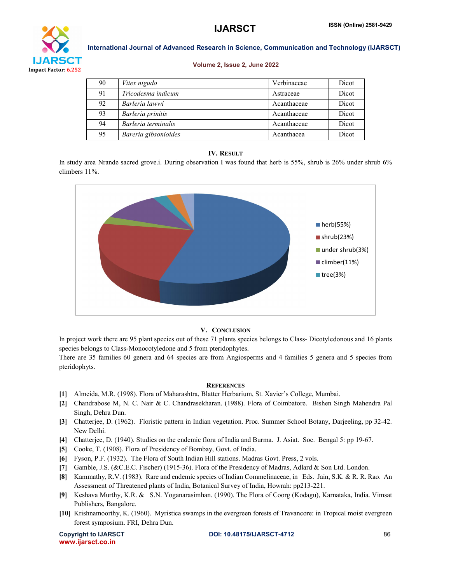

#### Volume 2, Issue 2, June 2022

| 90 | Vitex nigudo         | Verbinaceae | Dicot |
|----|----------------------|-------------|-------|
| 91 | Tricodesma indicum   | Astraceae   | Dicot |
| 92 | Barleria lawwi       | Acanthaceae | Dicot |
| 93 | Barleria prinitis    | Acanthaceae | Dicot |
| 94 | Barleria terminalis  | Acanthaceae | Dicot |
| 95 | Bareria gibsonioides | Acanthacea  | Dicot |

# IV. RESULT

In study area Nrande sacred grove.i. During observation I was found that herb is 55%, shrub is 26% under shrub 6% climbers 11%.



# V. CONCLUSION

In project work there are 95 plant species out of these 71 plants species belongs to Class- Dicotyledonous and 16 plants species belongs to Class-Monocotyledone and 5 from pteridophytes.

There are 35 families 60 genera and 64 species are from Angiosperms and 4 families 5 genera and 5 species from pteridophyts.

# **REFERENCES**

- [1] Almeida, M.R. (1998). Flora of Maharashtra, Blatter Herbarium, St. Xavier's College, Mumbai.
- [2] Chandrabose M, N. C. Nair & C. Chandrasekharan. (1988). Flora of Coimbatore. Bishen Singh Mahendra Pal Singh, Dehra Dun.
- [3] Chatterjee, D. (1962). Floristic pattern in Indian vegetation. Proc. Summer School Botany, Darjeeling, pp 32-42. New Delhi.
- [4] Chatterjee, D. (1940). Studies on the endemic flora of India and Burma. J. Asiat. Soc. Bengal 5: pp 19-67.
- [5] Cooke, T. (1908). Flora of Presidency of Bombay, Govt. of India.
- [6] Fyson, P.F. (1932). The Flora of South Indian Hill stations. Madras Govt. Press, 2 vols.
- [7] Gamble, J.S. (&C.E.C. Fischer) (1915-36). Flora of the Presidency of Madras, Adlard & Son Ltd. London.
- [8] Kammathy, R.V. (1983). Rare and endemic species of Indian Commelinaceae, in Eds. Jain, S.K. & R. R. Rao. An Assessment of Threatened plants of India, Botanical Survey of India, Howrah: pp213-221.
- [9] Keshava Murthy, K.R. & S.N. Yoganarasimhan. (1990). The Flora of Coorg (Kodagu), Karnataka, India. Vimsat Publishers, Bangalore.
- [10] Krishnamoorthy, K. (1960). Myristica swamps in the evergreen forests of Travancore: in Tropical moist evergreen forest symposium. FRI, Dehra Dun.

www.ijarsct.co.in